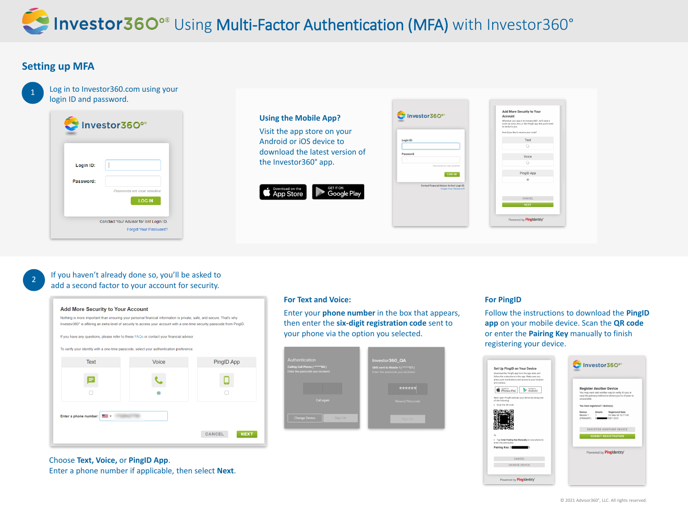

## If you haven't already done so, you'll be asked to add a second factor to your account for security.

| <b>Add More Security to Your Account</b>                                                                                                                                                                                                          |                                                                                          |                              |  |
|---------------------------------------------------------------------------------------------------------------------------------------------------------------------------------------------------------------------------------------------------|------------------------------------------------------------------------------------------|------------------------------|--|
| Nothing is more important than ensuring your personal financial information is private, safe, and secure. That's why<br>Investor360° is offering an extra level of security to access your account with a one-time security passcode from PingID. |                                                                                          |                              |  |
|                                                                                                                                                                                                                                                   | If you have any questions, please refer to these FAQs or contact your financial advisor. |                              |  |
| To verify your identity with a one-time passcode, select your authentication preference.                                                                                                                                                          |                                                                                          |                              |  |
| <b>Text</b>                                                                                                                                                                                                                                       | <b>Voice</b>                                                                             | PingID App                   |  |
|                                                                                                                                                                                                                                                   |                                                                                          |                              |  |
|                                                                                                                                                                                                                                                   |                                                                                          |                              |  |
| Enter a phone number:                                                                                                                                                                                                                             |                                                                                          |                              |  |
|                                                                                                                                                                                                                                                   |                                                                                          | <b>CANCEL</b><br><b>NEX1</b> |  |

## Choose **Text, Voice,** or **PingID App**.

Enter a phone number if applicable, then select **Next**.

| Add More Security to Your<br>Account                                                                                                  |
|---------------------------------------------------------------------------------------------------------------------------------------|
| Whenever you sign in to Investor360°, we'll send a<br>code via voice, text, or the PingID app that you'll need<br>to verify it's you. |
| How'd you like to receive your code?                                                                                                  |
| Text                                                                                                                                  |
|                                                                                                                                       |
| Voice                                                                                                                                 |
|                                                                                                                                       |
| PingID App                                                                                                                            |
|                                                                                                                                       |
|                                                                                                                                       |
| CANCEL                                                                                                                                |
| <b>NEXT</b>                                                                                                                           |
| Powered by <b>PingIdentity'</b>                                                                                                       |

| 1 |
|---|
|   |
|   |

## **Setting up MFA**

Log in to Investor360.com using your login ID and password.

|           | Investor360°                                                      |
|-----------|-------------------------------------------------------------------|
| Login ID: |                                                                   |
| Password: | Passwords are case sensitive<br><b>LOG IN</b>                     |
|           | Conctact Your Advisor for lost Login ID.<br>Forgot Your Password? |



### **For Text and Voice:**

Enter your **phone number** in the box that appears, then enter the **six-digit registration code** sent to your phone via the option you selected.

| Authentication<br>Calling Cell Phone (*******50)<br>Enter the passcode you received. | Investor360_QA<br>SMS sent to Mobile 1 (*******07)<br>Enter the passcode you received. |
|--------------------------------------------------------------------------------------|----------------------------------------------------------------------------------------|
| Call again                                                                           | ******<br><b>Resend Passcode</b>                                                       |
| <b>Change Device</b><br>Sign On                                                      | Sign On                                                                                |

## **For PingID**

Follow the instructions to download the **PingID app** on your mobile device. Scan the **QR code** or enter the **Pairing Key** manually to finish registering your device.

| Download the PingID app from the app store and<br>follow the instructions in the app. Make sure you |                                                                                                                            |
|-----------------------------------------------------------------------------------------------------|----------------------------------------------------------------------------------------------------------------------------|
| allow push notifications and access to your location<br>and camera.                                 |                                                                                                                            |
| Available for<br>Available for<br>iPhone & iPad<br>Android                                          | <b>Register Another Device</b>                                                                                             |
| Next, open PingID and pair your device by doing one<br>of the following:                            | You may want add another way to verify it's you in<br>case the primary method or device you've chosen is<br>unavailable.   |
| · Scan the QR code                                                                                  | You have registered 1 device(s).                                                                                           |
|                                                                                                     | Device<br><b>Details</b><br><b>Registered Date</b><br>Mobile 1<br>Fri Mar 26 12:17:45<br>1<br>(PRIMARY)<br>7EDT 2021<br>81 |
|                                                                                                     | <b>REGISTER ANOTHER DEVICE</b>                                                                                             |
| Or                                                                                                  | <b>SUBMIT REGISTRATION</b>                                                                                                 |
| . Tap Enter Pairing Key Manually on your phone to<br>enter the pairing key:                         |                                                                                                                            |
| Pairing Key: 3                                                                                      | Powered by <b>PingIdentity</b> *                                                                                           |
| CANCEL                                                                                              |                                                                                                                            |
| <b>CHANGE DEVICE</b>                                                                                |                                                                                                                            |
| Powered by <b>PingIdentity</b> *                                                                    |                                                                                                                            |